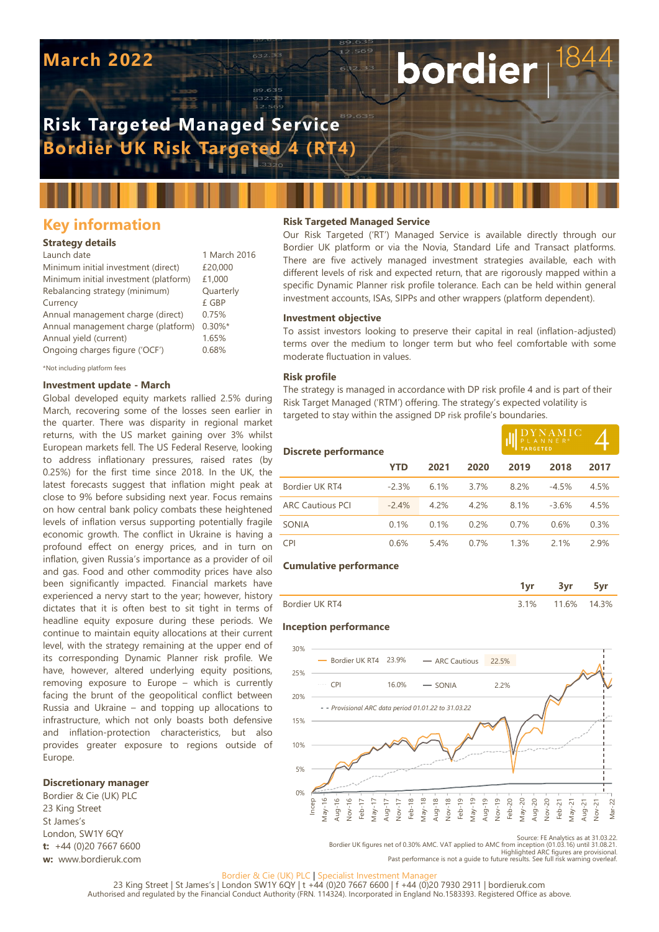# **March 2022**

# **Risk Targeted Managed Service Bordier UK Risk Targeted 4 (RT4)**

## **Key information**

#### **Strategy details**

| Launch date                           | 1 March 2016 |
|---------------------------------------|--------------|
| Minimum initial investment (direct)   | £20,000      |
| Minimum initial investment (platform) | £1,000       |
| Rebalancing strategy (minimum)        | Quarterly    |
| Currency                              | £ GBP        |
| Annual management charge (direct)     | 0.75%        |
| Annual management charge (platform)   | $0.30\%$ *   |
| Annual yield (current)                | 1.65%        |
| Ongoing charges figure ('OCF')        | 0.68%        |
|                                       |              |

\*Not including platform fees

#### **Investment update - March**

Global developed equity markets rallied 2.5% during March, recovering some of the losses seen earlier in the quarter. There was disparity in regional market returns, with the US market gaining over 3% whilst European markets fell. The US Federal Reserve, looking to address inflationary pressures, raised rates (by 0.25%) for the first time since 2018. In the UK, the latest forecasts suggest that inflation might peak at close to 9% before subsiding next year. Focus remains on how central bank policy combats these heightened levels of inflation versus supporting potentially fragile economic growth. The conflict in Ukraine is having a profound effect on energy prices, and in turn on inflation, given Russia's importance as a provider of oil and gas. Food and other commodity prices have also been significantly impacted. Financial markets have experienced a nervy start to the year; however, history dictates that it is often best to sit tight in terms of headline equity exposure during these periods. We continue to maintain equity allocations at their current level, with the strategy remaining at the upper end of its corresponding Dynamic Planner risk profile. We have, however, altered underlying equity positions, removing exposure to Europe – which is currently facing the brunt of the geopolitical conflict between Russia and Ukraine – and topping up allocations to infrastructure, which not only boasts both defensive and inflation-protection characteristics, but also provides greater exposure to regions outside of Europe.

#### **Discretionary manager**

Bordier & Cie (UK) PLC 23 King Street St James's London, SW1Y 6QY **t:** +44 (0)20 7667 6600 **w:** www.bordieruk.com

#### **Risk Targeted Managed Service**

Our Risk Targeted ('RT') Managed Service is available directly through our Bordier UK platform or via the Novia, Standard Life and Transact platforms. There are five actively managed investment strategies available, each with different levels of risk and expected return, that are rigorously mapped within a specific Dynamic Planner risk profile tolerance. Each can be held within general investment accounts, ISAs, SIPPs and other wrappers (platform dependent).

bordier

#### **Investment objective**

To assist investors looking to preserve their capital in real (inflation-adjusted) terms over the medium to longer term but who feel comfortable with some moderate fluctuation in values.

#### **Risk profile**

The strategy is managed in accordance with DP risk profile 4 and is part of their Risk Target Managed ('RTM') offering. The strategy's expected volatility is targeted to stay within the assigned DP risk profile's boundaries.

| <b>Discrete performance</b> |         |      |      | $\underset{\mathsf{PL} \,\,\mathsf{AN} \,\, \mathsf{NE} \,\, \mathsf{R}^*}{\text{D} \,\, \mathsf{L} \,\, \mathsf{AN} \,\, \mathsf{NE} \,\, \mathsf{R}^*} \mathsf{C}$ |         |      |
|-----------------------------|---------|------|------|----------------------------------------------------------------------------------------------------------------------------------------------------------------------|---------|------|
|                             | YTD     | 2021 | 2020 | 2019                                                                                                                                                                 | 2018    | 2017 |
| Bordier UK RT4              | $-2.3%$ | 6.1% | 3.7% | 8.2%                                                                                                                                                                 | $-4.5%$ | 4.5% |
| <b>ARC Cautious PCI</b>     | $-2.4%$ | 4.2% | 4.2% | 8.1%                                                                                                                                                                 | $-3.6%$ | 4.5% |
| <b>SONIA</b>                | 0.1%    | 0.1% | 0.2% | 0.7%                                                                                                                                                                 | 0.6%    | 0.3% |
| <b>CPI</b>                  | 0.6%    | 5.4% | 0.7% | 1.3%                                                                                                                                                                 | 2.1%    | 2.9% |

#### **Cumulative performance**

|                 | --- |  |
|-----------------|-----|--|
| Bordier LIK RT4 | 6%  |  |

#### **Inception performance**



Source: FE Analytics as at 31.03.22<br>.Bordier UK figures net of 0.30% AMC. VAT applied to AMC from inception (01.03.16) until 31.08.21<br>.Highlighted ARC figures are provisional<br>Past performance is not a quide to future resul

#### Bordier & Cie (UK) PLC | Specialist Investment Man

23 King Street | St James's | London SW1Y 6QY | t +44 (0)20 7667 6600 | f +44 (0)20 7930 2911 | bordieruk.com Authorised and regulated by the Financial Conduct Authority (FRN. 114324). Incorporated in England No.1583393. Registered Office as above.